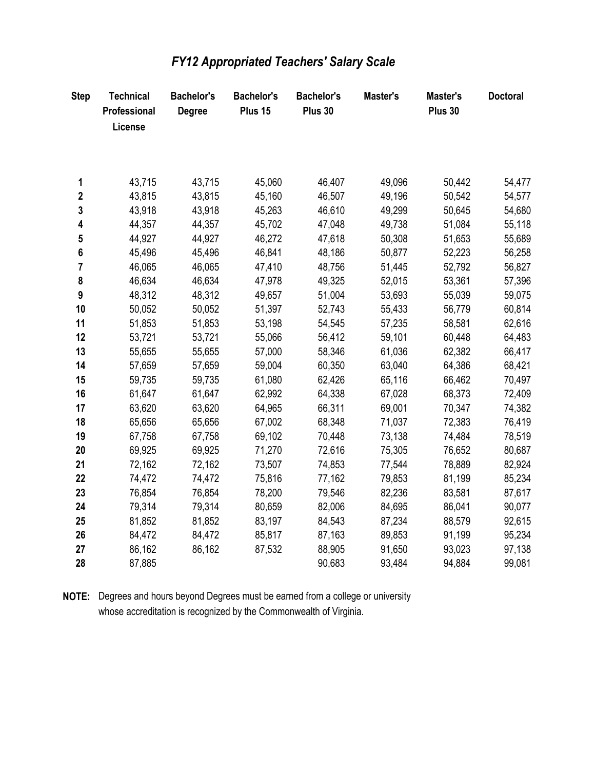| <b>Step</b>    | <b>Technical</b><br>Professional<br>License | <b>Bachelor's</b><br><b>Degree</b> | <b>Bachelor's</b><br>Plus 15 | <b>Bachelor's</b><br>Plus 30 | Master's | Master's<br>Plus 30 | <b>Doctoral</b> |
|----------------|---------------------------------------------|------------------------------------|------------------------------|------------------------------|----------|---------------------|-----------------|
|                |                                             |                                    |                              |                              |          |                     |                 |
| 1              | 43,715                                      | 43,715                             | 45,060                       | 46,407                       | 49,096   | 50,442              | 54,477          |
| $\mathbf 2$    | 43,815                                      | 43,815                             | 45,160                       | 46,507                       | 49,196   | 50,542              | 54,577          |
| $\mathbf 3$    | 43,918                                      | 43,918                             | 45,263                       | 46,610                       | 49,299   | 50,645              | 54,680          |
| 4              | 44,357                                      | 44,357                             | 45,702                       | 47,048                       | 49,738   | 51,084              | 55,118          |
| 5              | 44,927                                      | 44,927                             | 46,272                       | 47,618                       | 50,308   | 51,653              | 55,689          |
| $\bf 6$        | 45,496                                      | 45,496                             | 46,841                       | 48,186                       | 50,877   | 52,223              | 56,258          |
| $\overline{7}$ | 46,065                                      | 46,065                             | 47,410                       | 48,756                       | 51,445   | 52,792              | 56,827          |
| 8              | 46,634                                      | 46,634                             | 47,978                       | 49,325                       | 52,015   | 53,361              | 57,396          |
| 9              | 48,312                                      | 48,312                             | 49,657                       | 51,004                       | 53,693   | 55,039              | 59,075          |
| 10             | 50,052                                      | 50,052                             | 51,397                       | 52,743                       | 55,433   | 56,779              | 60,814          |
| 11             | 51,853                                      | 51,853                             | 53,198                       | 54,545                       | 57,235   | 58,581              | 62,616          |
| 12             | 53,721                                      | 53,721                             | 55,066                       | 56,412                       | 59,101   | 60,448              | 64,483          |
| 13             | 55,655                                      | 55,655                             | 57,000                       | 58,346                       | 61,036   | 62,382              | 66,417          |
| 14             | 57,659                                      | 57,659                             | 59,004                       | 60,350                       | 63,040   | 64,386              | 68,421          |
| 15             | 59,735                                      | 59,735                             | 61,080                       | 62,426                       | 65,116   | 66,462              | 70,497          |
| 16             | 61,647                                      | 61,647                             | 62,992                       | 64,338                       | 67,028   | 68,373              | 72,409          |
| 17             | 63,620                                      | 63,620                             | 64,965                       | 66,311                       | 69,001   | 70,347              | 74,382          |
| 18             | 65,656                                      | 65,656                             | 67,002                       | 68,348                       | 71,037   | 72,383              | 76,419          |
| 19             | 67,758                                      | 67,758                             | 69,102                       | 70,448                       | 73,138   | 74,484              | 78,519          |
| 20             | 69,925                                      | 69,925                             | 71,270                       | 72,616                       | 75,305   | 76,652              | 80,687          |
| 21             | 72,162                                      | 72,162                             | 73,507                       | 74,853                       | 77,544   | 78,889              | 82,924          |
| 22             | 74,472                                      | 74,472                             | 75,816                       | 77,162                       | 79,853   | 81,199              | 85,234          |
| 23             | 76,854                                      | 76,854                             | 78,200                       | 79,546                       | 82,236   | 83,581              | 87,617          |
| 24             | 79,314                                      | 79,314                             | 80,659                       | 82,006                       | 84,695   | 86,041              | 90,077          |
| 25             | 81,852                                      | 81,852                             | 83,197                       | 84,543                       | 87,234   | 88,579              | 92,615          |
| 26             | 84,472                                      | 84,472                             | 85,817                       | 87,163                       | 89,853   | 91,199              | 95,234          |
| 27             | 86,162                                      | 86,162                             | 87,532                       | 88,905                       | 91,650   | 93,023              | 97,138          |
| 28             | 87,885                                      |                                    |                              | 90,683                       | 93,484   | 94,884              | 99,081          |

## FY12 Appropriated Teachers' Salary Scale

NOTE: Degrees and hours beyond Degrees must be earned from a college or university whose accreditation is recognized by the Commonwealth of Virginia.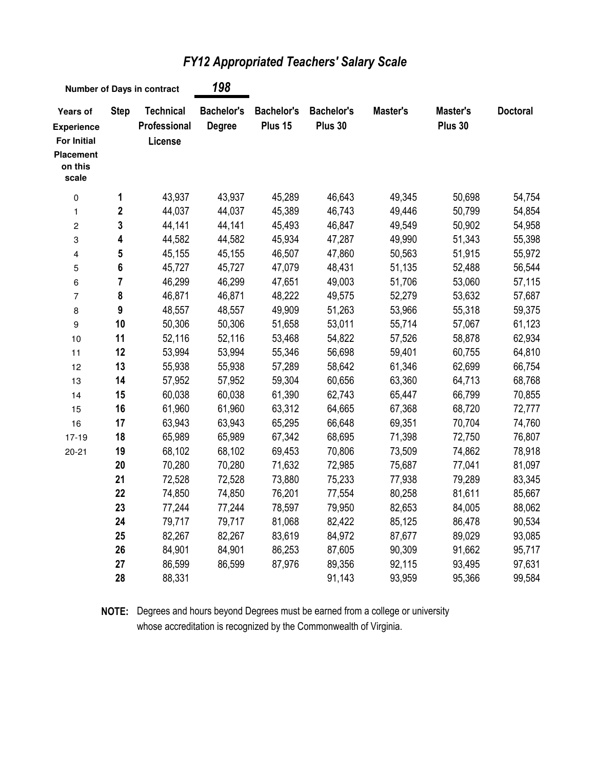| <b>Number of Days in contract</b>                                                           |                  |                                             | 198                                |                              |                              |          |                     |                 |
|---------------------------------------------------------------------------------------------|------------------|---------------------------------------------|------------------------------------|------------------------------|------------------------------|----------|---------------------|-----------------|
| Years of<br><b>Experience</b><br><b>For Initial</b><br><b>Placement</b><br>on this<br>scale | <b>Step</b>      | <b>Technical</b><br>Professional<br>License | <b>Bachelor's</b><br><b>Degree</b> | <b>Bachelor's</b><br>Plus 15 | <b>Bachelor's</b><br>Plus 30 | Master's | Master's<br>Plus 30 | <b>Doctoral</b> |
| $\pmb{0}$                                                                                   | 1                | 43,937                                      | 43,937                             | 45,289                       | 46,643                       | 49,345   | 50,698              | 54,754          |
| $\mathbf{1}$                                                                                | $\boldsymbol{2}$ | 44,037                                      | 44,037                             | 45,389                       | 46,743                       | 49,446   | 50,799              | 54,854          |
| $\boldsymbol{2}$                                                                            | 3                | 44,141                                      | 44,141                             | 45,493                       | 46,847                       | 49,549   | 50,902              | 54,958          |
| $\ensuremath{\mathsf{3}}$                                                                   | 4                | 44,582                                      | 44,582                             | 45,934                       | 47,287                       | 49,990   | 51,343              | 55,398          |
| $\overline{\mathbf{4}}$                                                                     | ${\bf 5}$        | 45,155                                      | 45,155                             | 46,507                       | 47,860                       | 50,563   | 51,915              | 55,972          |
| 5                                                                                           | $\bf 6$          | 45,727                                      | 45,727                             | 47,079                       | 48,431                       | 51,135   | 52,488              | 56,544          |
| 6                                                                                           | $\overline{7}$   | 46,299                                      | 46,299                             | 47,651                       | 49,003                       | 51,706   | 53,060              | 57,115          |
| $\overline{7}$                                                                              | 8                | 46,871                                      | 46,871                             | 48,222                       | 49,575                       | 52,279   | 53,632              | 57,687          |
| 8                                                                                           | $\boldsymbol{9}$ | 48,557                                      | 48,557                             | 49,909                       | 51,263                       | 53,966   | 55,318              | 59,375          |
| $\boldsymbol{9}$                                                                            | 10               | 50,306                                      | 50,306                             | 51,658                       | 53,011                       | 55,714   | 57,067              | 61,123          |
| 10                                                                                          | 11               | 52,116                                      | 52,116                             | 53,468                       | 54,822                       | 57,526   | 58,878              | 62,934          |
| 11                                                                                          | 12               | 53,994                                      | 53,994                             | 55,346                       | 56,698                       | 59,401   | 60,755              | 64,810          |
| 12                                                                                          | 13               | 55,938                                      | 55,938                             | 57,289                       | 58,642                       | 61,346   | 62,699              | 66,754          |
| 13                                                                                          | 14               | 57,952                                      | 57,952                             | 59,304                       | 60,656                       | 63,360   | 64,713              | 68,768          |
| 14                                                                                          | 15               | 60,038                                      | 60,038                             | 61,390                       | 62,743                       | 65,447   | 66,799              | 70,855          |
| 15                                                                                          | 16               | 61,960                                      | 61,960                             | 63,312                       | 64,665                       | 67,368   | 68,720              | 72,777          |
| 16                                                                                          | 17               | 63,943                                      | 63,943                             | 65,295                       | 66,648                       | 69,351   | 70,704              | 74,760          |
| $17 - 19$                                                                                   | 18               | 65,989                                      | 65,989                             | 67,342                       | 68,695                       | 71,398   | 72,750              | 76,807          |
| $20 - 21$                                                                                   | 19               | 68,102                                      | 68,102                             | 69,453                       | 70,806                       | 73,509   | 74,862              | 78,918          |
|                                                                                             | 20               | 70,280                                      | 70,280                             | 71,632                       | 72,985                       | 75,687   | 77,041              | 81,097          |
|                                                                                             | 21               | 72,528                                      | 72,528                             | 73,880                       | 75,233                       | 77,938   | 79,289              | 83,345          |
|                                                                                             | 22               | 74,850                                      | 74,850                             | 76,201                       | 77,554                       | 80,258   | 81,611              | 85,667          |
|                                                                                             | 23               | 77,244                                      | 77,244                             | 78,597                       | 79,950                       | 82,653   | 84,005              | 88,062          |
|                                                                                             | 24               | 79,717                                      | 79,717                             | 81,068                       | 82,422                       | 85,125   | 86,478              | 90,534          |
|                                                                                             | 25               | 82,267                                      | 82,267                             | 83,619                       | 84,972                       | 87,677   | 89,029              | 93,085          |
|                                                                                             | 26               | 84,901                                      | 84,901                             | 86,253                       | 87,605                       | 90,309   | 91,662              | 95,717          |
|                                                                                             | 27               | 86,599                                      | 86,599                             | 87,976                       | 89,356                       | 92,115   | 93,495              | 97,631          |
|                                                                                             | 28               | 88,331                                      |                                    |                              | 91,143                       | 93,959   | 95,366              | 99,584          |

## FY12 Appropriated Teachers' Salary Scale

**NOTE:** Degrees and hours beyond Degrees must be earned from a college or university whose accreditation is recognized by the Commonwealth of Virginia.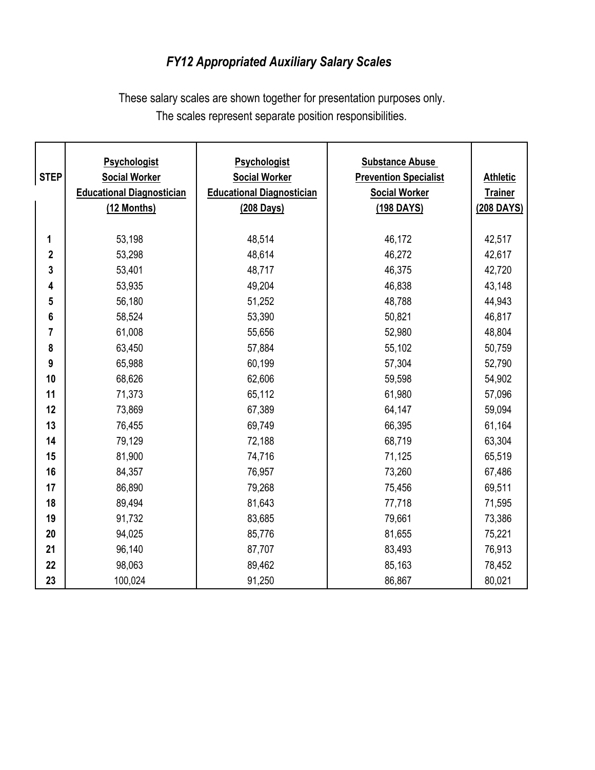## FY12 Appropriated Auxiliary Salary Scales

These salary scales are shown together for presentation purposes only. The scales represent separate position responsibilities.

| <b>STEP</b>      | <b>Psychologist</b><br><b>Social Worker</b><br><b>Educational Diagnostician</b><br>(12 Months) | <b>Psychologist</b><br><b>Social Worker</b><br><b>Educational Diagnostician</b><br>(208 Days) | <b>Substance Abuse</b><br><b>Prevention Specialist</b><br><b>Social Worker</b><br>(198 DAYS) | <b>Athletic</b><br><b>Trainer</b><br>(208 DAYS) |
|------------------|------------------------------------------------------------------------------------------------|-----------------------------------------------------------------------------------------------|----------------------------------------------------------------------------------------------|-------------------------------------------------|
| 1                | 53,198                                                                                         | 48,514                                                                                        | 46,172                                                                                       | 42,517                                          |
| $\boldsymbol{2}$ | 53,298                                                                                         | 48,614                                                                                        | 46,272                                                                                       | 42,617                                          |
| 3                | 53,401                                                                                         | 48,717                                                                                        | 46,375                                                                                       | 42,720                                          |
| 4                | 53,935                                                                                         | 49,204                                                                                        | 46,838                                                                                       | 43,148                                          |
| 5                | 56,180                                                                                         | 51,252                                                                                        | 48,788                                                                                       | 44,943                                          |
| 6                | 58,524                                                                                         | 53,390                                                                                        | 50,821                                                                                       | 46,817                                          |
| 7                | 61,008                                                                                         | 55,656                                                                                        | 52,980                                                                                       | 48,804                                          |
| 8                | 63,450                                                                                         | 57,884                                                                                        | 55,102                                                                                       | 50,759                                          |
| 9                | 65,988                                                                                         | 60,199                                                                                        | 57,304                                                                                       | 52,790                                          |
| 10               | 68,626                                                                                         | 62,606                                                                                        | 59,598                                                                                       | 54,902                                          |
| 11               | 71,373                                                                                         | 65,112                                                                                        | 61,980                                                                                       | 57,096                                          |
| 12               | 73,869                                                                                         | 67,389                                                                                        | 64,147                                                                                       | 59,094                                          |
| 13               | 76,455                                                                                         | 69,749                                                                                        | 66,395                                                                                       | 61,164                                          |
| 14               | 79,129                                                                                         | 72,188                                                                                        | 68,719                                                                                       | 63,304                                          |
| 15               | 81,900                                                                                         | 74,716                                                                                        | 71,125                                                                                       | 65,519                                          |
| 16               | 84,357                                                                                         | 76,957                                                                                        | 73,260                                                                                       | 67,486                                          |
| 17               | 86,890                                                                                         | 79,268                                                                                        | 75,456                                                                                       | 69,511                                          |
| 18               | 89,494                                                                                         | 81,643                                                                                        | 77,718                                                                                       | 71,595                                          |
| 19               | 91,732                                                                                         | 83,685                                                                                        | 79,661                                                                                       | 73,386                                          |
| 20               | 94,025                                                                                         | 85,776                                                                                        | 81,655                                                                                       | 75,221                                          |
| 21               | 96,140                                                                                         | 87,707                                                                                        | 83,493                                                                                       | 76,913                                          |
| 22               | 98,063                                                                                         | 89,462                                                                                        | 85,163                                                                                       | 78,452                                          |
| 23               | 100,024                                                                                        | 91,250                                                                                        | 86,867                                                                                       | 80,021                                          |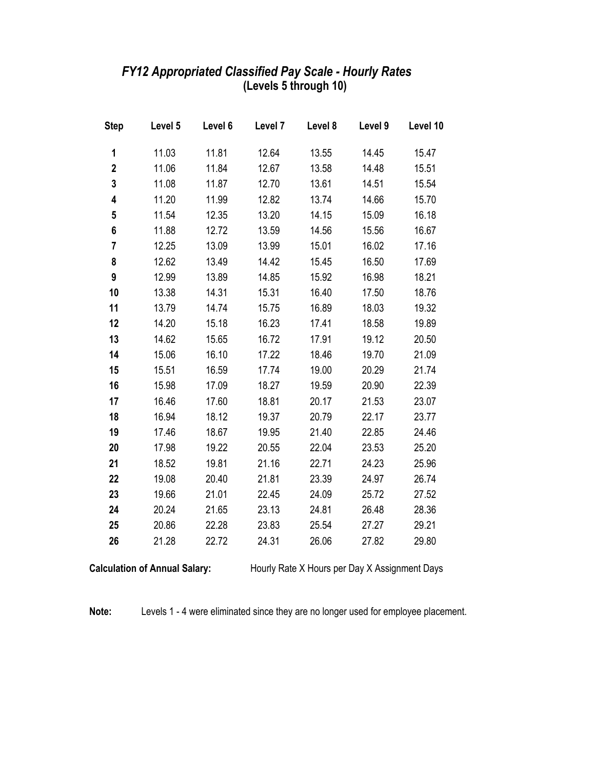### (Levels 5 through 10) FY12 Appropriated Classified Pay Scale - Hourly Rates

| <b>Step</b>             | Level 5 | Level 6 | Level 7 | Level 8 | Level 9 | Level 10 |
|-------------------------|---------|---------|---------|---------|---------|----------|
| 1                       | 11.03   | 11.81   | 12.64   | 13.55   | 14.45   | 15.47    |
| $\overline{\mathbf{2}}$ | 11.06   | 11.84   | 12.67   | 13.58   | 14.48   | 15.51    |
| 3                       | 11.08   | 11.87   | 12.70   | 13.61   | 14.51   | 15.54    |
| 4                       | 11.20   | 11.99   | 12.82   | 13.74   | 14.66   | 15.70    |
| 5                       | 11.54   | 12.35   | 13.20   | 14.15   | 15.09   | 16.18    |
| 6                       | 11.88   | 12.72   | 13.59   | 14.56   | 15.56   | 16.67    |
| 7                       | 12.25   | 13.09   | 13.99   | 15.01   | 16.02   | 17.16    |
| 8                       | 12.62   | 13.49   | 14.42   | 15.45   | 16.50   | 17.69    |
| 9                       | 12.99   | 13.89   | 14.85   | 15.92   | 16.98   | 18.21    |
| 10                      | 13.38   | 14.31   | 15.31   | 16.40   | 17.50   | 18.76    |
| 11                      | 13.79   | 14.74   | 15.75   | 16.89   | 18.03   | 19.32    |
| 12                      | 14.20   | 15.18   | 16.23   | 17.41   | 18.58   | 19.89    |
| 13                      | 14.62   | 15.65   | 16.72   | 17.91   | 19.12   | 20.50    |
| 14                      | 15.06   | 16.10   | 17.22   | 18.46   | 19.70   | 21.09    |
| 15                      | 15.51   | 16.59   | 17.74   | 19.00   | 20.29   | 21.74    |
| 16                      | 15.98   | 17.09   | 18.27   | 19.59   | 20.90   | 22.39    |
| 17                      | 16.46   | 17.60   | 18.81   | 20.17   | 21.53   | 23.07    |
| 18                      | 16.94   | 18.12   | 19.37   | 20.79   | 22.17   | 23.77    |
| 19                      | 17.46   | 18.67   | 19.95   | 21.40   | 22.85   | 24.46    |
| 20                      | 17.98   | 19.22   | 20.55   | 22.04   | 23.53   | 25.20    |
| 21                      | 18.52   | 19.81   | 21.16   | 22.71   | 24.23   | 25.96    |
| 22                      | 19.08   | 20.40   | 21.81   | 23.39   | 24.97   | 26.74    |
| 23                      | 19.66   | 21.01   | 22.45   | 24.09   | 25.72   | 27.52    |
| 24                      | 20.24   | 21.65   | 23.13   | 24.81   | 26.48   | 28.36    |
| 25                      | 20.86   | 22.28   | 23.83   | 25.54   | 27.27   | 29.21    |
| 26                      | 21.28   | 22.72   | 24.31   | 26.06   | 27.82   | 29.80    |

Calculation of Annual Salary: Hourly Rate X Hours per Day X Assignment Days

Note: Levels 1 - 4 were eliminated since they are no longer used for employee placement.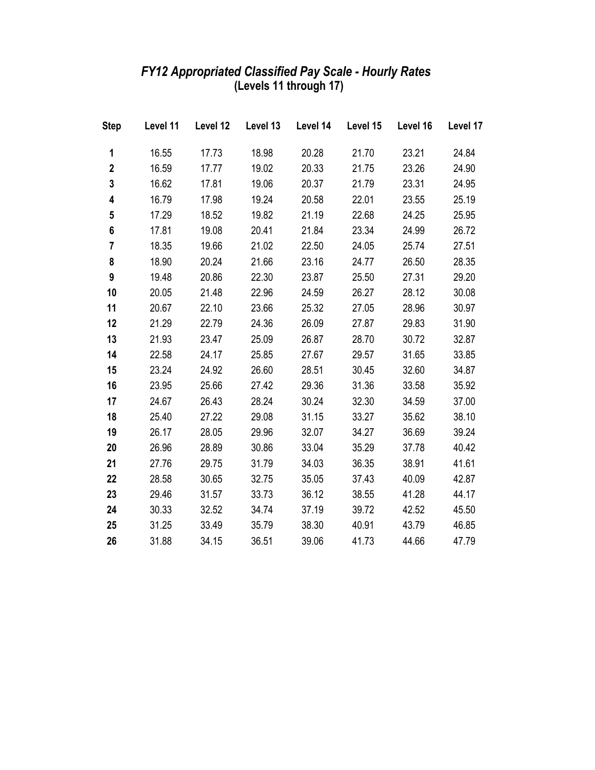#### FY12 Appropriated Classified Pay Scale - Hourly Rates (Levels 11 through 17)

| <b>Step</b>    | Level 11 Level 12 Level 13 Level 14 Level 15 Level 16 |       |       |       |       |       | Level 17 |
|----------------|-------------------------------------------------------|-------|-------|-------|-------|-------|----------|
| 1              | 16.55                                                 | 17.73 | 18.98 | 20.28 | 21.70 | 23.21 | 24.84    |
| $\mathbf 2$    | 16.59                                                 | 17.77 | 19.02 | 20.33 | 21.75 | 23.26 | 24.90    |
| 3              | 16.62                                                 | 17.81 | 19.06 | 20.37 | 21.79 | 23.31 | 24.95    |
| 4              | 16.79                                                 | 17.98 | 19.24 | 20.58 | 22.01 | 23.55 | 25.19    |
| 5              | 17.29                                                 | 18.52 | 19.82 | 21.19 | 22.68 | 24.25 | 25.95    |
| 6              | 17.81                                                 | 19.08 | 20.41 | 21.84 | 23.34 | 24.99 | 26.72    |
| $\overline{7}$ | 18.35                                                 | 19.66 | 21.02 | 22.50 | 24.05 | 25.74 | 27.51    |
| 8              | 18.90                                                 | 20.24 | 21.66 | 23.16 | 24.77 | 26.50 | 28.35    |
| 9              | 19.48                                                 | 20.86 | 22.30 | 23.87 | 25.50 | 27.31 | 29.20    |
| 10             | 20.05                                                 | 21.48 | 22.96 | 24.59 | 26.27 | 28.12 | 30.08    |
| 11             | 20.67                                                 | 22.10 | 23.66 | 25.32 | 27.05 | 28.96 | 30.97    |
| 12             | 21.29                                                 | 22.79 | 24.36 | 26.09 | 27.87 | 29.83 | 31.90    |
| 13             | 21.93                                                 | 23.47 | 25.09 | 26.87 | 28.70 | 30.72 | 32.87    |
| 14             | 22.58                                                 | 24.17 | 25.85 | 27.67 | 29.57 | 31.65 | 33.85    |
| 15             | 23.24                                                 | 24.92 | 26.60 | 28.51 | 30.45 | 32.60 | 34.87    |
| 16             | 23.95                                                 | 25.66 | 27.42 | 29.36 | 31.36 | 33.58 | 35.92    |
| 17             | 24.67                                                 | 26.43 | 28.24 | 30.24 | 32.30 | 34.59 | 37.00    |
| 18             | 25.40                                                 | 27.22 | 29.08 | 31.15 | 33.27 | 35.62 | 38.10    |
| 19             | 26.17                                                 | 28.05 | 29.96 | 32.07 | 34.27 | 36.69 | 39.24    |
| 20             | 26.96                                                 | 28.89 | 30.86 | 33.04 | 35.29 | 37.78 | 40.42    |
| 21             | 27.76                                                 | 29.75 | 31.79 | 34.03 | 36.35 | 38.91 | 41.61    |
| 22             | 28.58                                                 | 30.65 | 32.75 | 35.05 | 37.43 | 40.09 | 42.87    |
| 23             | 29.46                                                 | 31.57 | 33.73 | 36.12 | 38.55 | 41.28 | 44.17    |
| 24             | 30.33                                                 | 32.52 | 34.74 | 37.19 | 39.72 | 42.52 | 45.50    |
| 25             | 31.25                                                 | 33.49 | 35.79 | 38.30 | 40.91 | 43.79 | 46.85    |
| 26             | 31.88                                                 | 34.15 | 36.51 | 39.06 | 41.73 | 44.66 | 47.79    |